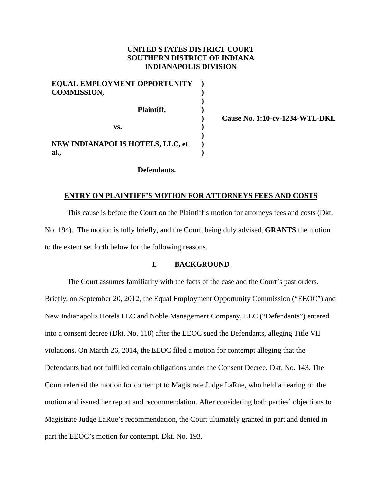# **UNITED STATES DISTRICT COURT SOUTHERN DISTRICT OF INDIANA INDIANAPOLIS DIVISION**

| EQUAL EMPLOYMENT OPPORTUNITY<br><b>COMMISSION,</b> |  |
|----------------------------------------------------|--|
| Plaintiff,                                         |  |
| VS.                                                |  |
| <b>NEW INDIANAPOLIS HOTELS, LLC, et</b><br>al.,    |  |

 **Cause No. 1:10-cv-1234-WTL-DKL**

### **Defendants.**

### **ENTRY ON PLAINTIFF'S MOTION FOR ATTORNEYS FEES AND COSTS**

This cause is before the Court on the Plaintiff's motion for attorneys fees and costs (Dkt. No. 194). The motion is fully briefly, and the Court, being duly advised, **GRANTS** the motion to the extent set forth below for the following reasons.

## **I. BACKGROUND**

The Court assumes familiarity with the facts of the case and the Court's past orders. Briefly, on September 20, 2012, the Equal Employment Opportunity Commission ("EEOC") and New Indianapolis Hotels LLC and Noble Management Company, LLC ("Defendants") entered into a consent decree (Dkt. No. 118) after the EEOC sued the Defendants, alleging Title VII violations. On March 26, 2014, the EEOC filed a motion for contempt alleging that the Defendants had not fulfilled certain obligations under the Consent Decree. Dkt. No. 143. The Court referred the motion for contempt to Magistrate Judge LaRue, who held a hearing on the motion and issued her report and recommendation. After considering both parties' objections to Magistrate Judge LaRue's recommendation, the Court ultimately granted in part and denied in part the EEOC's motion for contempt. Dkt. No. 193.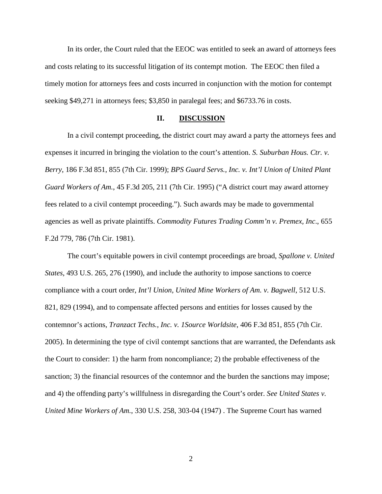In its order, the Court ruled that the EEOC was entitled to seek an award of attorneys fees and costs relating to its successful litigation of its contempt motion. The EEOC then filed a timely motion for attorneys fees and costs incurred in conjunction with the motion for contempt seeking \$49,271 in attorneys fees; \$3,850 in paralegal fees; and \$6733.76 in costs.

### **II. DISCUSSION**

In a civil contempt proceeding, the district court may award a party the attorneys fees and expenses it incurred in bringing the violation to the court's attention. *S. Suburban Hous. Ctr. v. Berry*, 186 F.3d 851, 855 (7th Cir. 1999); *BPS Guard Servs., Inc. v. Int'l Union of United Plant Guard Workers of Am.*, 45 F.3d 205, 211 (7th Cir. 1995) ("A district court may award attorney fees related to a civil contempt proceeding."). Such awards may be made to governmental agencies as well as private plaintiffs. *Commodity Futures Trading Comm'n v. Premex, Inc*., 655 F.2d 779, 786 (7th Cir. 1981).

The court's equitable powers in civil contempt proceedings are broad, *Spallone v. United States*, 493 U.S. 265, 276 (1990), and include the authority to impose sanctions to coerce compliance with a court order, *Int'l Union, United Mine Workers of Am. v. Bagwell*, 512 U.S. 821, 829 (1994), and to compensate affected persons and entities for losses caused by the contemnor's actions, *Tranzact Techs., Inc. v. 1Source Worldsite*, 406 F.3d 851, 855 (7th Cir. 2005). In determining the type of civil contempt sanctions that are warranted, the Defendants ask the Court to consider: 1) the harm from noncompliance; 2) the probable effectiveness of the sanction; 3) the financial resources of the contemnor and the burden the sanctions may impose; and 4) the offending party's willfulness in disregarding the Court's order. *See United States v. United Mine Workers of Am.*, 330 U.S. 258, 303-04 (1947) . The Supreme Court has warned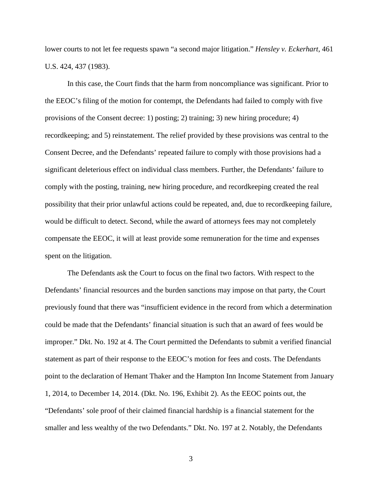lower courts to not let fee requests spawn "a second major litigation." *Hensley v. Eckerhart*, 461 U.S. 424, 437 (1983).

In this case, the Court finds that the harm from noncompliance was significant. Prior to the EEOC's filing of the motion for contempt, the Defendants had failed to comply with five provisions of the Consent decree: 1) posting; 2) training; 3) new hiring procedure; 4) recordkeeping; and 5) reinstatement. The relief provided by these provisions was central to the Consent Decree, and the Defendants' repeated failure to comply with those provisions had a significant deleterious effect on individual class members. Further, the Defendants' failure to comply with the posting, training, new hiring procedure, and recordkeeping created the real possibility that their prior unlawful actions could be repeated, and, due to recordkeeping failure, would be difficult to detect. Second, while the award of attorneys fees may not completely compensate the EEOC, it will at least provide some remuneration for the time and expenses spent on the litigation.

The Defendants ask the Court to focus on the final two factors. With respect to the Defendants' financial resources and the burden sanctions may impose on that party, the Court previously found that there was "insufficient evidence in the record from which a determination could be made that the Defendants' financial situation is such that an award of fees would be improper." Dkt. No. 192 at 4. The Court permitted the Defendants to submit a verified financial statement as part of their response to the EEOC's motion for fees and costs. The Defendants point to the declaration of Hemant Thaker and the Hampton Inn Income Statement from January 1, 2014, to December 14, 2014. (Dkt. No. 196, Exhibit 2). As the EEOC points out, the "Defendants' sole proof of their claimed financial hardship is a financial statement for the smaller and less wealthy of the two Defendants." Dkt. No. 197 at 2. Notably, the Defendants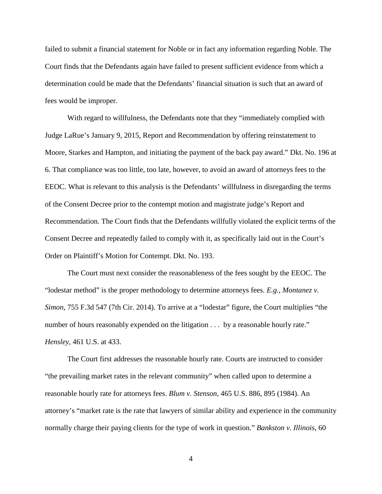failed to submit a financial statement for Noble or in fact any information regarding Noble. The Court finds that the Defendants again have failed to present sufficient evidence from which a determination could be made that the Defendants' financial situation is such that an award of fees would be improper.

With regard to willfulness, the Defendants note that they "immediately complied with Judge LaRue's January 9, 2015, Report and Recommendation by offering reinstatement to Moore, Starkes and Hampton, and initiating the payment of the back pay award." Dkt. No. 196 at 6. That compliance was too little, too late, however, to avoid an award of attorneys fees to the EEOC. What is relevant to this analysis is the Defendants' willfulness in disregarding the terms of the Consent Decree prior to the contempt motion and magistrate judge's Report and Recommendation. The Court finds that the Defendants willfully violated the explicit terms of the Consent Decree and repeatedly failed to comply with it, as specifically laid out in the Court's Order on Plaintiff's Motion for Contempt. Dkt. No. 193.

The Court must next consider the reasonableness of the fees sought by the EEOC. The "lodestar method" is the proper methodology to determine attorneys fees. *E.g.*, *Montanez v. Simon*, 755 F.3d 547 (7th Cir. 2014). To arrive at a "lodestar" figure, the Court multiplies "the number of hours reasonably expended on the litigation  $\dots$  by a reasonable hourly rate." *Hensley*, 461 U.S. at 433.

The Court first addresses the reasonable hourly rate. Courts are instructed to consider "the prevailing market rates in the relevant community" when called upon to determine a reasonable hourly rate for attorneys fees. *Blum v. Stenson*, 465 U.S. 886, 895 (1984). An attorney's "market rate is the rate that lawyers of similar ability and experience in the community normally charge their paying clients for the type of work in question." *Bankston v. Illinois*, 60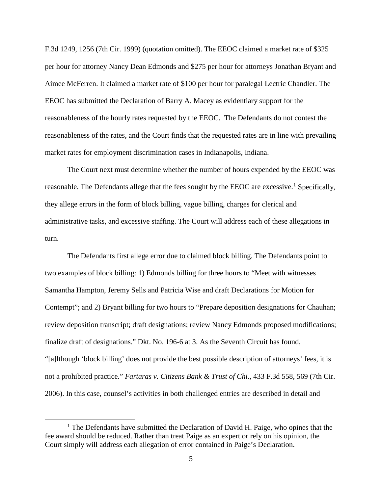F.3d 1249, 1256 (7th Cir. 1999) (quotation omitted). The EEOC claimed a market rate of \$325 per hour for attorney Nancy Dean Edmonds and \$275 per hour for attorneys Jonathan Bryant and Aimee McFerren. It claimed a market rate of \$100 per hour for paralegal Lectric Chandler. The EEOC has submitted the Declaration of Barry A. Macey as evidentiary support for the reasonableness of the hourly rates requested by the EEOC. The Defendants do not contest the reasonableness of the rates, and the Court finds that the requested rates are in line with prevailing market rates for employment discrimination cases in Indianapolis, Indiana.

The Court next must determine whether the number of hours expended by the EEOC was reasonable. The Defendants allege that the fees sought by the EEOC are excessive.<sup>1</sup> Specifically, they allege errors in the form of block billing, vague billing, charges for clerical and administrative tasks, and excessive staffing. The Court will address each of these allegations in turn.

The Defendants first allege error due to claimed block billing. The Defendants point to two examples of block billing: 1) Edmonds billing for three hours to "Meet with witnesses Samantha Hampton, Jeremy Sells and Patricia Wise and draft Declarations for Motion for Contempt"; and 2) Bryant billing for two hours to "Prepare deposition designations for Chauhan; review deposition transcript; draft designations; review Nancy Edmonds proposed modifications; finalize draft of designations." Dkt. No. 196-6 at 3. As the Seventh Circuit has found, "[a]lthough 'block billing' does not provide the best possible description of attorneys' fees, it is not a prohibited practice." *Fartaras v. Citizens Bank & Trust of Chi.*, 433 F.3d 558, 569 (7th Cir. 2006). In this case, counsel's activities in both challenged entries are described in detail and

<sup>&</sup>lt;u>1</u>  $<sup>1</sup>$  The Defendants have submitted the Declaration of David H. Paige, who opines that the</sup> fee award should be reduced. Rather than treat Paige as an expert or rely on his opinion, the Court simply will address each allegation of error contained in Paige's Declaration.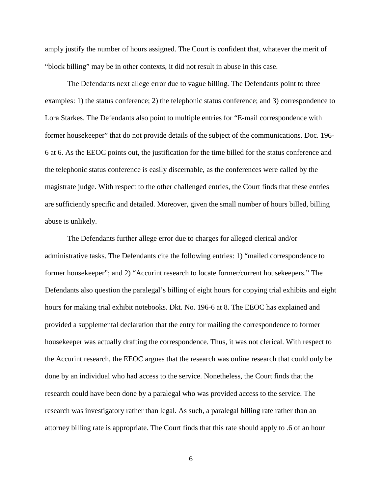amply justify the number of hours assigned. The Court is confident that, whatever the merit of "block billing" may be in other contexts, it did not result in abuse in this case.

The Defendants next allege error due to vague billing. The Defendants point to three examples: 1) the status conference; 2) the telephonic status conference; and 3) correspondence to Lora Starkes. The Defendants also point to multiple entries for "E-mail correspondence with former housekeeper" that do not provide details of the subject of the communications. Doc. 196- 6 at 6. As the EEOC points out, the justification for the time billed for the status conference and the telephonic status conference is easily discernable, as the conferences were called by the magistrate judge. With respect to the other challenged entries, the Court finds that these entries are sufficiently specific and detailed. Moreover, given the small number of hours billed, billing abuse is unlikely.

The Defendants further allege error due to charges for alleged clerical and/or administrative tasks. The Defendants cite the following entries: 1) "mailed correspondence to former housekeeper"; and 2) "Accurint research to locate former/current housekeepers." The Defendants also question the paralegal's billing of eight hours for copying trial exhibits and eight hours for making trial exhibit notebooks. Dkt. No. 196-6 at 8. The EEOC has explained and provided a supplemental declaration that the entry for mailing the correspondence to former housekeeper was actually drafting the correspondence. Thus, it was not clerical. With respect to the Accurint research, the EEOC argues that the research was online research that could only be done by an individual who had access to the service. Nonetheless, the Court finds that the research could have been done by a paralegal who was provided access to the service. The research was investigatory rather than legal. As such, a paralegal billing rate rather than an attorney billing rate is appropriate. The Court finds that this rate should apply to .6 of an hour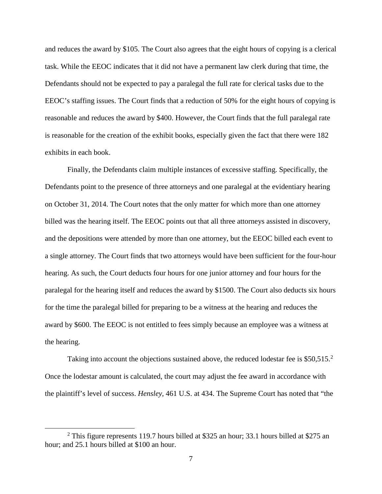and reduces the award by \$105. The Court also agrees that the eight hours of copying is a clerical task. While the EEOC indicates that it did not have a permanent law clerk during that time, the Defendants should not be expected to pay a paralegal the full rate for clerical tasks due to the EEOC's staffing issues. The Court finds that a reduction of 50% for the eight hours of copying is reasonable and reduces the award by \$400. However, the Court finds that the full paralegal rate is reasonable for the creation of the exhibit books, especially given the fact that there were 182 exhibits in each book.

Finally, the Defendants claim multiple instances of excessive staffing. Specifically, the Defendants point to the presence of three attorneys and one paralegal at the evidentiary hearing on October 31, 2014. The Court notes that the only matter for which more than one attorney billed was the hearing itself. The EEOC points out that all three attorneys assisted in discovery, and the depositions were attended by more than one attorney, but the EEOC billed each event to a single attorney. The Court finds that two attorneys would have been sufficient for the four-hour hearing. As such, the Court deducts four hours for one junior attorney and four hours for the paralegal for the hearing itself and reduces the award by \$1500. The Court also deducts six hours for the time the paralegal billed for preparing to be a witness at the hearing and reduces the award by \$600. The EEOC is not entitled to fees simply because an employee was a witness at the hearing.

Taking into account the objections sustained above, the reduced lodestar fee is  $$50,515.<sup>2</sup>$ Once the lodestar amount is calculated, the court may adjust the fee award in accordance with the plaintiff's level of success. *Hensley*, 461 U.S. at 434. The Supreme Court has noted that "the

 <sup>2</sup> <sup>2</sup> This figure represents 119.7 hours billed at \$325 an hour; 33.1 hours billed at \$275 an hour; and 25.1 hours billed at \$100 an hour.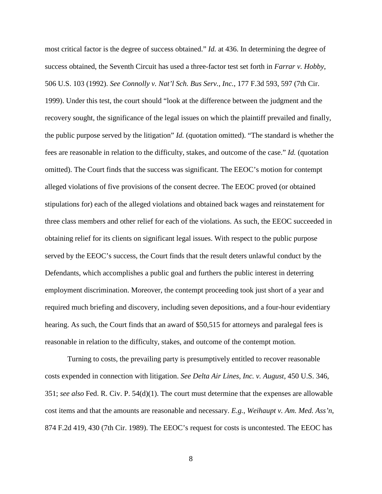most critical factor is the degree of success obtained." *Id.* at 436. In determining the degree of success obtained, the Seventh Circuit has used a three-factor test set forth in *Farrar v. Hobby*, 506 U.S. 103 (1992). *See Connolly v. Nat'l Sch. Bus Serv., Inc.*, 177 F.3d 593, 597 (7th Cir.

1999). Under this test, the court should "look at the difference between the judgment and the recovery sought, the significance of the legal issues on which the plaintiff prevailed and finally, the public purpose served by the litigation" *Id.* (quotation omitted). "The standard is whether the fees are reasonable in relation to the difficulty, stakes, and outcome of the case." *Id.* (quotation omitted). The Court finds that the success was significant. The EEOC's motion for contempt alleged violations of five provisions of the consent decree. The EEOC proved (or obtained stipulations for) each of the alleged violations and obtained back wages and reinstatement for three class members and other relief for each of the violations. As such, the EEOC succeeded in obtaining relief for its clients on significant legal issues. With respect to the public purpose served by the EEOC's success, the Court finds that the result deters unlawful conduct by the Defendants, which accomplishes a public goal and furthers the public interest in deterring employment discrimination. Moreover, the contempt proceeding took just short of a year and required much briefing and discovery, including seven depositions, and a four-hour evidentiary hearing. As such, the Court finds that an award of \$50,515 for attorneys and paralegal fees is reasonable in relation to the difficulty, stakes, and outcome of the contempt motion.

Turning to costs, the prevailing party is presumptively entitled to recover reasonable costs expended in connection with litigation. *See Delta Air Lines, Inc. v. August*, 450 U.S. 346, 351; *see also* Fed. R. Civ. P. 54(d)(1). The court must determine that the expenses are allowable cost items and that the amounts are reasonable and necessary. *E.g.*, *Weihaupt v. Am. Med. Ass'n*, 874 F.2d 419, 430 (7th Cir. 1989). The EEOC's request for costs is uncontested. The EEOC has